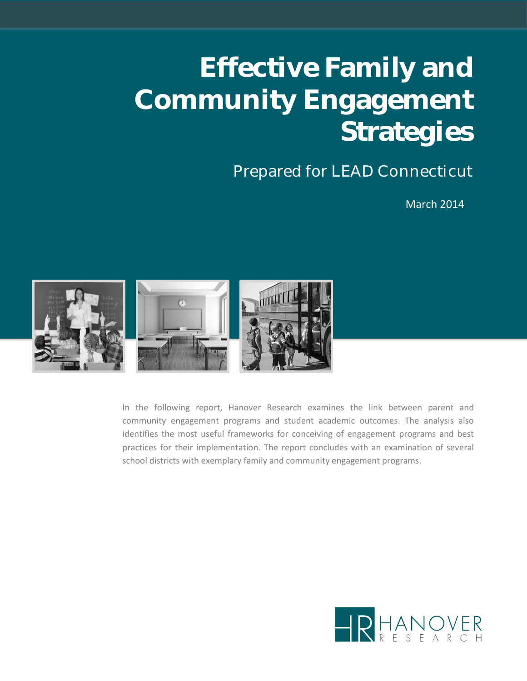# **Effective Family and Community Engagement Strategies**

### Prepared for LEAD Connecticut

March 2014



In the following report, Hanover Research examines the link between parent and community engagement programs and student academic outcomes. The analysis also identifies the most useful frameworks for conceiving of engagement programs and best practices for their implementation. The report concludes with an examination of several school districts with exemplary family and community engagement programs.

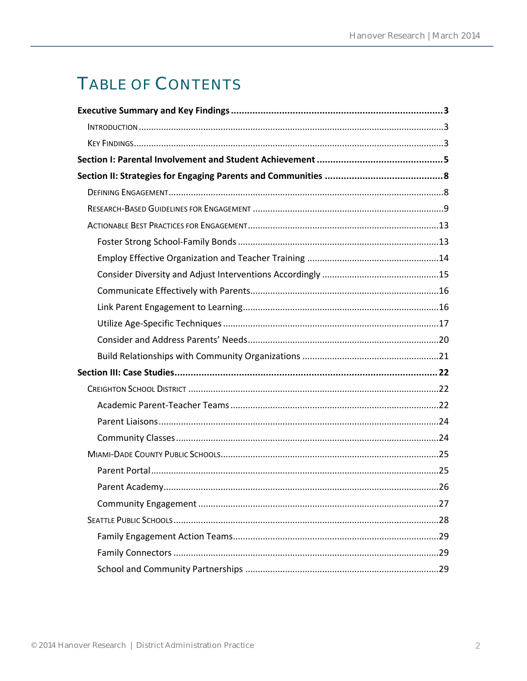# TABLE OF CONTENTS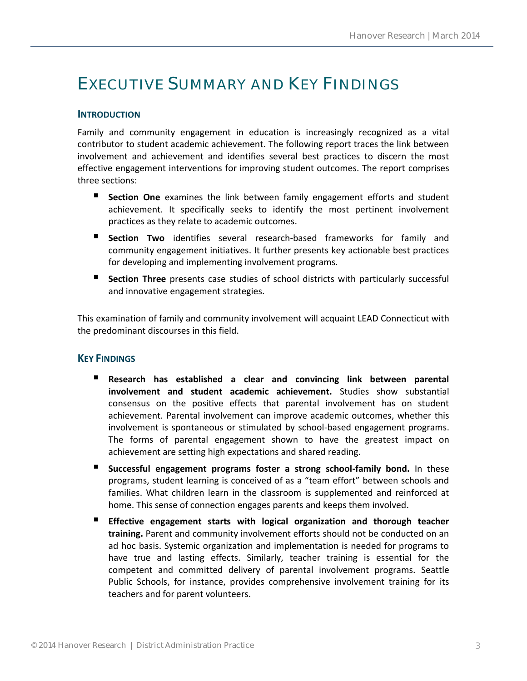### <span id="page-2-0"></span>EXECUTIVE SUMMARY AND KEY FINDINGS

#### <span id="page-2-1"></span>**INTRODUCTION**

Family and community engagement in education is increasingly recognized as a vital contributor to student academic achievement. The following report traces the link between involvement and achievement and identifies several best practices to discern the most effective engagement interventions for improving student outcomes. The report comprises three sections:

- **Section One** examines the link between family engagement efforts and student achievement. It specifically seeks to identify the most pertinent involvement practices as they relate to academic outcomes.
- **Section Two** identifies several research-based frameworks for family and community engagement initiatives. It further presents key actionable best practices for developing and implementing involvement programs.
- **Section Three** presents case studies of school districts with particularly successful and innovative engagement strategies.

This examination of family and community involvement will acquaint LEAD Connecticut with the predominant discourses in this field.

#### <span id="page-2-2"></span>**KEY FINDINGS**

- **Research has established a clear and convincing link between parental involvement and student academic achievement.** Studies show substantial consensus on the positive effects that parental involvement has on student achievement. Parental involvement can improve academic outcomes, whether this involvement is spontaneous or stimulated by school-based engagement programs. The forms of parental engagement shown to have the greatest impact on achievement are setting high expectations and shared reading.
- **Successful engagement programs foster a strong school-family bond.** In these programs, student learning is conceived of as a "team effort" between schools and families. What children learn in the classroom is supplemented and reinforced at home. This sense of connection engages parents and keeps them involved.
- **Effective engagement starts with logical organization and thorough teacher training.** Parent and community involvement efforts should not be conducted on an ad hoc basis. Systemic organization and implementation is needed for programs to have true and lasting effects. Similarly, teacher training is essential for the competent and committed delivery of parental involvement programs. Seattle Public Schools, for instance, provides comprehensive involvement training for its teachers and for parent volunteers.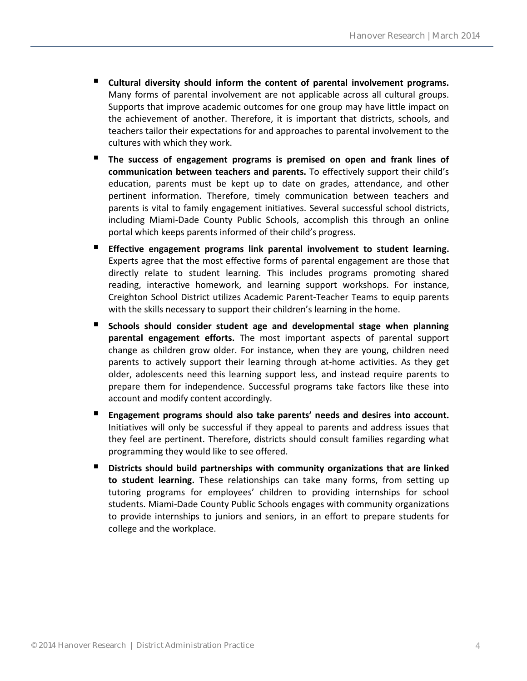- **Cultural diversity should inform the content of parental involvement programs.** Many forms of parental involvement are not applicable across all cultural groups. Supports that improve academic outcomes for one group may have little impact on the achievement of another. Therefore, it is important that districts, schools, and teachers tailor their expectations for and approaches to parental involvement to the cultures with which they work.
- **The success of engagement programs is premised on open and frank lines of communication between teachers and parents.** To effectively support their child's education, parents must be kept up to date on grades, attendance, and other pertinent information. Therefore, timely communication between teachers and parents is vital to family engagement initiatives. Several successful school districts, including Miami-Dade County Public Schools, accomplish this through an online portal which keeps parents informed of their child's progress.
- **Effective engagement programs link parental involvement to student learning.**  Experts agree that the most effective forms of parental engagement are those that directly relate to student learning. This includes programs promoting shared reading, interactive homework, and learning support workshops. For instance, Creighton School District utilizes Academic Parent-Teacher Teams to equip parents with the skills necessary to support their children's learning in the home.
- **Schools should consider student age and developmental stage when planning parental engagement efforts.** The most important aspects of parental support change as children grow older. For instance, when they are young, children need parents to actively support their learning through at-home activities. As they get older, adolescents need this learning support less, and instead require parents to prepare them for independence. Successful programs take factors like these into account and modify content accordingly.
- **Engagement programs should also take parents' needs and desires into account.**  Initiatives will only be successful if they appeal to parents and address issues that they feel are pertinent. Therefore, districts should consult families regarding what programming they would like to see offered.
- **Districts should build partnerships with community organizations that are linked to student learning.** These relationships can take many forms, from setting up tutoring programs for employees' children to providing internships for school students. Miami-Dade County Public Schools engages with community organizations to provide internships to juniors and seniors, in an effort to prepare students for college and the workplace.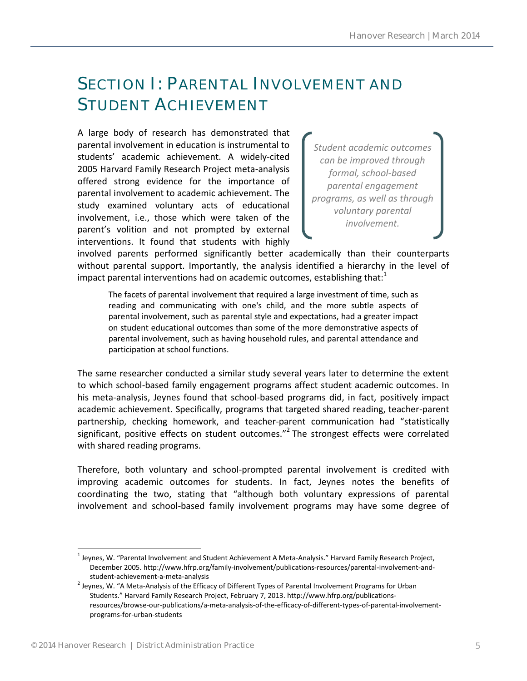### <span id="page-4-0"></span>SECTION I: PARENTAL INVOLVEMENT AND STUDENT ACHIEVEMENT

A large body of research has demonstrated that parental involvement in education is instrumental to students' academic achievement. A widely-cited 2005 Harvard Family Research Project meta-analysis offered strong evidence for the importance of parental involvement to academic achievement. The study examined voluntary acts of educational involvement, i.e., those which were taken of the parent's volition and not prompted by external interventions. It found that students with highly

*Student academic outcomes can be improved through formal, school-based parental engagement programs, as well as through voluntary parental involvement.* 

involved parents performed significantly better academically than their counterparts without parental support. Importantly, the analysis identified a hierarchy in the level of impact parental interventions had on academic outcomes, establishing that: $1$ 

The facets of parental involvement that required a large investment of time, such as reading and communicating with one's child, and the more subtle aspects of parental involvement, such as parental style and expectations, had a greater impact on student educational outcomes than some of the more demonstrative aspects of parental involvement, such as having household rules, and parental attendance and participation at school functions.

The same researcher conducted a similar study several years later to determine the extent to which school-based family engagement programs affect student academic outcomes. In his meta-analysis, Jeynes found that school-based programs did, in fact, positively impact academic achievement. Specifically, programs that targeted shared reading, teacher-parent partnership, checking homework, and teacher-parent communication had "statistically significant, positive effects on student outcomes."<sup>2</sup> The strongest effects were correlated with shared reading programs.

Therefore, both voluntary and school-prompted parental involvement is credited with improving academic outcomes for students. In fact, Jeynes notes the benefits of coordinating the two, stating that "although both voluntary expressions of parental involvement and school-based family involvement programs may have some degree of

 $^1$  Jeynes, W. "Parental Involvement and Student Achievement A Meta-Analysis." Harvard Family Research Project, December 2005. http://www.hfrp.org/family-involvement/publications-resources/parental-involvement-andstudent-achievement-a-meta-analysis

 $^2$  Jeynes, W. "A Meta-Analysis of the Efficacy of Different Types of Parental Involvement Programs for Urban Students." Harvard Family Research Project, February 7, 2013. http://www.hfrp.org/publicationsresources/browse-our-publications/a-meta-analysis-of-the-efficacy-of-different-types-of-parental-involvementprograms-for-urban-students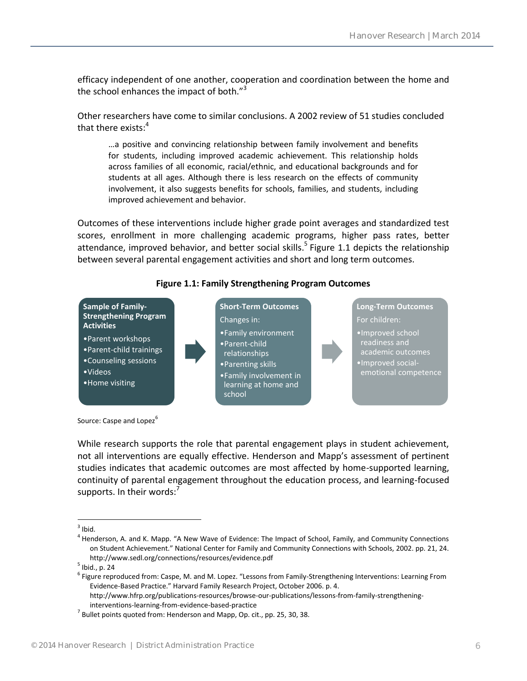efficacy independent of one another, cooperation and coordination between the home and the school enhances the impact of both."<sup>3</sup>

Other researchers have come to similar conclusions. A 2002 review of 51 studies concluded that there exists: $4$ 

…a positive and convincing relationship between family involvement and benefits for students, including improved academic achievement. This relationship holds across families of all economic, racial/ethnic, and educational backgrounds and for students at all ages. Although there is less research on the effects of community involvement, it also suggests benefits for schools, families, and students, including improved achievement and behavior.

Outcomes of these interventions include higher grade point averages and standardized test scores, enrollment in more challenging academic programs, higher pass rates, better attendance, improved behavior, and better social skills.<sup>5</sup> Figure 1.1 depicts the relationship between several parental engagement activities and short and long term outcomes.



#### **Figure 1.1: Family Strengthening Program Outcomes**

Source: Caspe and Lopez<sup>6</sup>

While research supports the role that parental engagement plays in student achievement, not all interventions are equally effective. Henderson and Mapp's assessment of pertinent studies indicates that academic outcomes are most affected by home-supported learning, continuity of parental engagement throughout the education process, and learning-focused supports. In their words: $<sup>7</sup>$ </sup>

 $\frac{1}{3}$ lbid.

<sup>&</sup>lt;sup>4</sup> Henderson, A. and K. Mapp. "A New Wave of Evidence: The Impact of School, Family, and Community Connections on Student Achievement." National Center for Family and Community Connections with Schools, 2002. pp. 21, 24. http://www.sedl.org/connections/resources/evidence.pdf

<sup>&</sup>lt;sup>5</sup> Ibid., p. 24

<sup>6</sup> Figure reproduced from: Caspe, M. and M. Lopez. "Lessons from Family-Strengthening Interventions: Learning From Evidence-Based Practice." Harvard Family Research Project, October 2006. p. 4.

http://www.hfrp.org/publications-resources/browse-our-publications/lessons-from-family-strengtheninginterventions-learning-from-evidence-based-practice

 $^7$  Bullet points quoted from: Henderson and Mapp, Op. cit., pp. 25, 30, 38.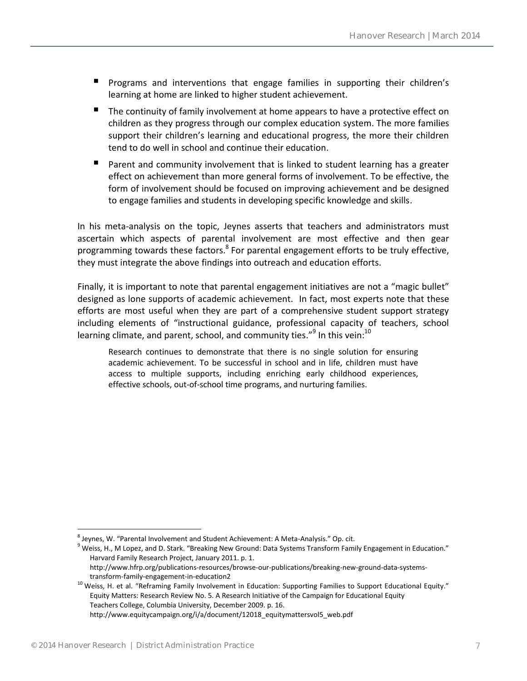- **Programs and interventions that engage families in supporting their children's** learning at home are linked to higher student achievement.
- The continuity of family involvement at home appears to have a protective effect on children as they progress through our complex education system. The more families support their children's learning and educational progress, the more their children tend to do well in school and continue their education.
- **Parent and community involvement that is linked to student learning has a greater** effect on achievement than more general forms of involvement. To be effective, the form of involvement should be focused on improving achievement and be designed to engage families and students in developing specific knowledge and skills.

In his meta-analysis on the topic, Jeynes asserts that teachers and administrators must ascertain which aspects of parental involvement are most effective and then gear programming towards these factors.<sup>8</sup> For parental engagement efforts to be truly effective, they must integrate the above findings into outreach and education efforts.

Finally, it is important to note that parental engagement initiatives are not a "magic bullet" designed as lone supports of academic achievement. In fact, most experts note that these efforts are most useful when they are part of a comprehensive student support strategy including elements of "instructional guidance, professional capacity of teachers, school learning climate, and parent, school, and community ties." $^9$  In this vein: $^{10}$ 

Research continues to demonstrate that there is no single solution for ensuring academic achievement. To be successful in school and in life, children must have access to multiple supports, including enriching early childhood experiences, effective schools, out-of-school time programs, and nurturing families.

<sup>&</sup>lt;sup>8</sup> Jeynes, W. "Parental Involvement and Student Achievement: A Meta-Analysis." Op. cit.

 $9$  Weiss, H., M Lopez, and D. Stark. "Breaking New Ground: Data Systems Transform Family Engagement in Education." Harvard Family Research Project, January 2011. p. 1.

http://www.hfrp.org/publications-resources/browse-our-publications/breaking-new-ground-data-systemstransform-family-engagement-in-education2

<sup>&</sup>lt;sup>10</sup> Weiss, H. et al. "Reframing Family Involvement in Education: Supporting Families to Support Educational Equity." Equity Matters: Research Review No. 5. A Research Initiative of the Campaign for Educational Equity Teachers College, Columbia University, December 2009. p. 16. http://www.equitycampaign.org/i/a/document/12018\_equitymattersvol5\_web.pdf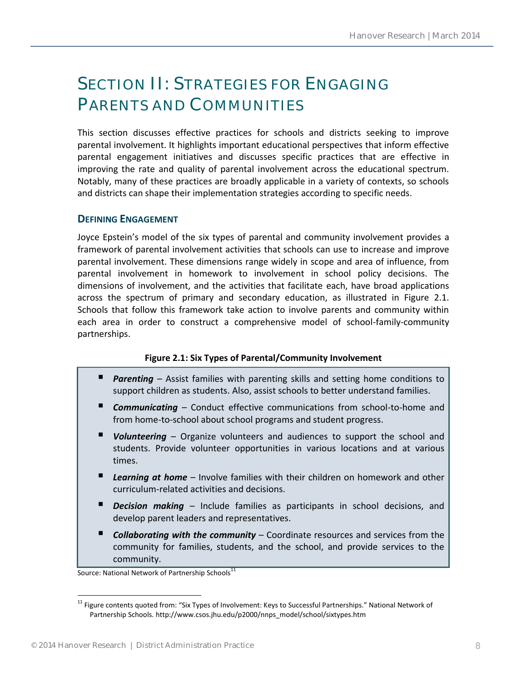## <span id="page-7-0"></span>SECTION II: STRATEGIES FOR ENGAGING PARENTS AND COMMUNITIES

This section discusses effective practices for schools and districts seeking to improve parental involvement. It highlights important educational perspectives that inform effective parental engagement initiatives and discusses specific practices that are effective in improving the rate and quality of parental involvement across the educational spectrum. Notably, many of these practices are broadly applicable in a variety of contexts, so schools and districts can shape their implementation strategies according to specific needs.

#### <span id="page-7-1"></span>**DEFINING ENGAGEMENT**

Joyce Epstein's model of the six types of parental and community involvement provides a framework of parental involvement activities that schools can use to increase and improve parental involvement. These dimensions range widely in scope and area of influence, from parental involvement in homework to involvement in school policy decisions. The dimensions of involvement, and the activities that facilitate each, have broad applications across the spectrum of primary and secondary education, as illustrated in Figure 2.1. Schools that follow this framework take action to involve parents and community within each area in order to construct a comprehensive model of school-family-community partnerships.

#### **Figure 2.1: Six Types of Parental/Community Involvement**

- **Parenting** Assist families with parenting skills and setting home conditions to support children as students. Also, assist schools to better understand families.
- *Communicating* Conduct effective communications from school-to-home and from home-to-school about school programs and student progress.
- *Volunteering* Organize volunteers and audiences to support the school and students. Provide volunteer opportunities in various locations and at various times.
- *Learning at home* Involve families with their children on homework and other curriculum-related activities and decisions.
- **Decision making** Include families as participants in school decisions, and develop parent leaders and representatives.
- *Collaborating with the community* Coordinate resources and services from the community for families, students, and the school, and provide services to the community.

Source: National Network of Partnership Schools<sup>11</sup>

 $\overline{a}$ <sup>11</sup> Figure contents quoted from: "Six Types of Involvement: Keys to Successful Partnerships." National Network of Partnership Schools. http://www.csos.jhu.edu/p2000/nnps\_model/school/sixtypes.htm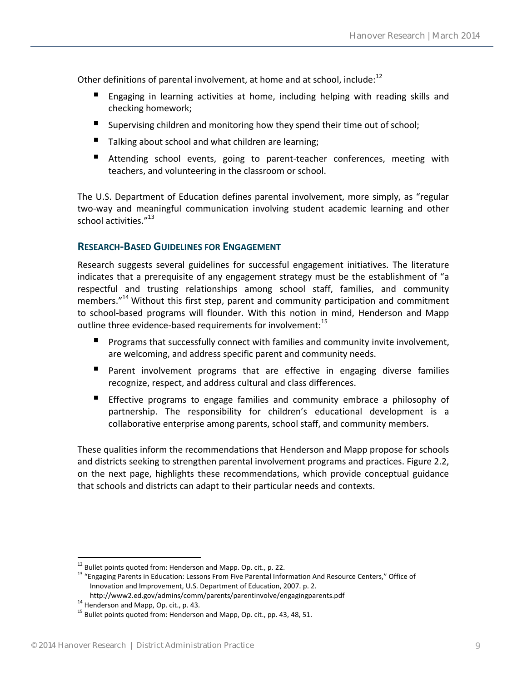Other definitions of parental involvement, at home and at school, include:<sup>12</sup>

- Engaging in learning activities at home, including helping with reading skills and checking homework;
- Supervising children and monitoring how they spend their time out of school;
- Talking about school and what children are learning;
- Attending school events, going to parent-teacher conferences, meeting with teachers, and volunteering in the classroom or school.

The U.S. Department of Education defines parental involvement, more simply, as "regular two-way and meaningful communication involving student academic learning and other school activities."<sup>13</sup>

#### <span id="page-8-0"></span>**RESEARCH-BASED GUIDELINES FOR ENGAGEMENT**

Research suggests several guidelines for successful engagement initiatives. The literature indicates that a prerequisite of any engagement strategy must be the establishment of "a respectful and trusting relationships among school staff, families, and community members."<sup>14</sup> Without this first step, parent and community participation and commitment to school-based programs will flounder. With this notion in mind, Henderson and Mapp outline three evidence-based requirements for involvement:<sup>15</sup>

- Programs that successfully connect with families and community invite involvement, are welcoming, and address specific parent and community needs.
- **Parent involvement programs that are effective in engaging diverse families** recognize, respect, and address cultural and class differences.
- Effective programs to engage families and community embrace a philosophy of partnership. The responsibility for children's educational development is a collaborative enterprise among parents, school staff, and community members.

These qualities inform the recommendations that Henderson and Mapp propose for schools and districts seeking to strengthen parental involvement programs and practices. Figure 2.2, on the next page, highlights these recommendations, which provide conceptual guidance that schools and districts can adapt to their particular needs and contexts.

 $12$  Bullet points quoted from: Henderson and Mapp. Op. cit., p. 22.

<sup>&</sup>lt;sup>13</sup> "Engaging Parents in Education: Lessons From Five Parental Information And Resource Centers," Office of Innovation and Improvement, U.S. Department of Education, 2007. p. 2.

http://www2.ed.gov/admins/comm/parents/parentinvolve/engagingparents.pdf

<sup>14</sup> Henderson and Mapp, Op. cit., p. 43.

<sup>&</sup>lt;sup>15</sup> Bullet points quoted from: Henderson and Mapp, Op. cit., pp. 43, 48, 51.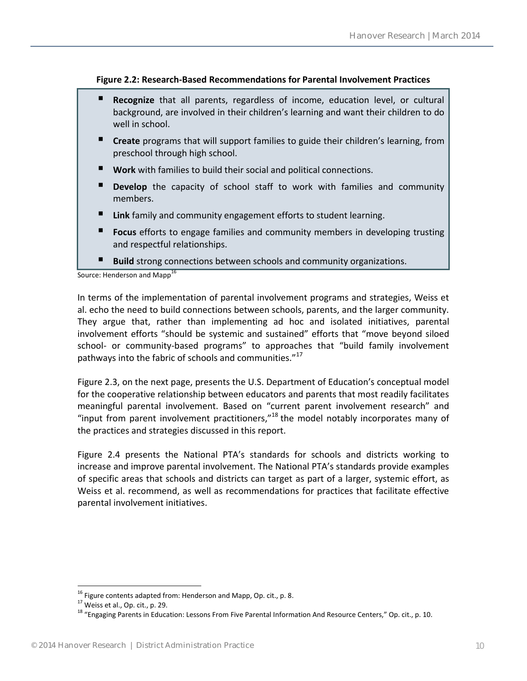#### **Figure 2.2: Research-Based Recommendations for Parental Involvement Practices**

- **Recognize** that all parents, regardless of income, education level, or cultural background, are involved in their children's learning and want their children to do well in school.
- **Create** programs that will support families to guide their children's learning, from preschool through high school.
- **Work** with families to build their social and political connections.
- **Develop** the capacity of school staff to work with families and community members.
- **Link** family and community engagement efforts to student learning.
- **Focus** efforts to engage families and community members in developing trusting and respectful relationships.
- **Build** strong connections between schools and community organizations.

Source: Henderson and Mapp<sup>16</sup>

In terms of the implementation of parental involvement programs and strategies, Weiss et al. echo the need to build connections between schools, parents, and the larger community. They argue that, rather than implementing ad hoc and isolated initiatives, parental involvement efforts "should be systemic and sustained" efforts that "move beyond siloed school- or community-based programs" to approaches that "build family involvement pathways into the fabric of schools and communities. $"$ <sup>1</sup>

Figure 2.3, on the next page, presents the U.S. Department of Education's conceptual model for the cooperative relationship between educators and parents that most readily facilitates meaningful parental involvement. Based on "current parent involvement research" and "input from parent involvement practitioners,"<sup>18</sup> the model notably incorporates many of the practices and strategies discussed in this report.

Figure 2.4 presents the National PTA's standards for schools and districts working to increase and improve parental involvement. The National PTA's standards provide examples of specific areas that schools and districts can target as part of a larger, systemic effort, as Weiss et al. recommend, as well as recommendations for practices that facilitate effective parental involvement initiatives.

 $^{16}$  Figure contents adapted from: Henderson and Mapp, Op. cit., p. 8.

<sup>&</sup>lt;sup>17</sup> Weiss et al., Op. cit., p. 29.

<sup>&</sup>lt;sup>18</sup> "Engaging Parents in Education: Lessons From Five Parental Information And Resource Centers," Op. cit., p. 10.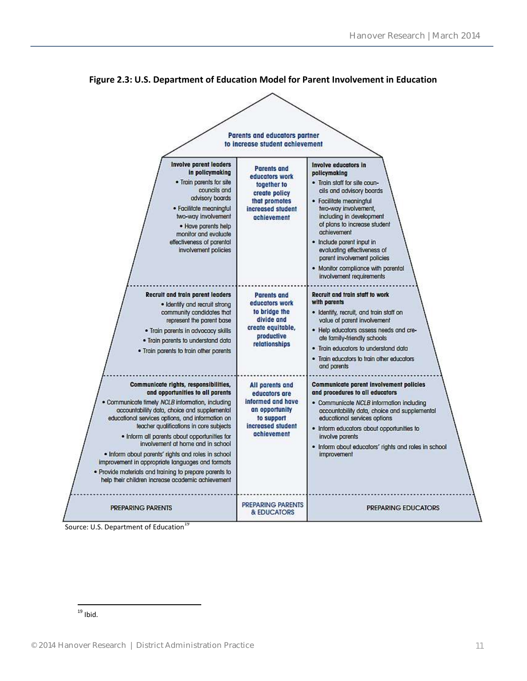

**Figure 2.3: U.S. Department of Education Model for Parent Involvement in Education**

Source: U.S. Department of Education<sup>19</sup>

 $\overline{a}$  $^{19}$  Ibid.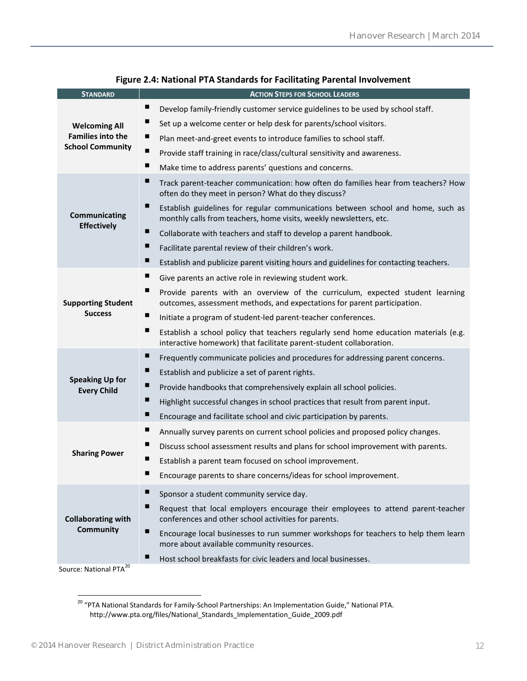| <b>STANDARD</b>                               | <b>ACTION STEPS FOR SCHOOL LEADERS</b>                                                                                                                            |  |  |
|-----------------------------------------------|-------------------------------------------------------------------------------------------------------------------------------------------------------------------|--|--|
|                                               | ш<br>Develop family-friendly customer service guidelines to be used by school staff.                                                                              |  |  |
| <b>Welcoming All</b>                          | ш<br>Set up a welcome center or help desk for parents/school visitors.                                                                                            |  |  |
| <b>Families into the</b>                      | ш<br>Plan meet-and-greet events to introduce families to school staff.                                                                                            |  |  |
| <b>School Community</b>                       | п<br>Provide staff training in race/class/cultural sensitivity and awareness.                                                                                     |  |  |
|                                               | ш<br>Make time to address parents' questions and concerns.                                                                                                        |  |  |
|                                               | п<br>Track parent-teacher communication: how often do families hear from teachers? How<br>often do they meet in person? What do they discuss?                     |  |  |
| Communicating                                 | ш<br>Establish guidelines for regular communications between school and home, such as<br>monthly calls from teachers, home visits, weekly newsletters, etc.       |  |  |
| <b>Effectively</b>                            | ш<br>Collaborate with teachers and staff to develop a parent handbook.                                                                                            |  |  |
|                                               | ш<br>Facilitate parental review of their children's work.                                                                                                         |  |  |
|                                               | ш<br>Establish and publicize parent visiting hours and guidelines for contacting teachers.                                                                        |  |  |
|                                               | ш<br>Give parents an active role in reviewing student work.                                                                                                       |  |  |
| <b>Supporting Student</b>                     | ш<br>Provide parents with an overview of the curriculum, expected student learning<br>outcomes, assessment methods, and expectations for parent participation.    |  |  |
| <b>Success</b>                                | ш<br>Initiate a program of student-led parent-teacher conferences.                                                                                                |  |  |
|                                               | ш<br>Establish a school policy that teachers regularly send home education materials (e.g.<br>interactive homework) that facilitate parent-student collaboration. |  |  |
|                                               | п<br>Frequently communicate policies and procedures for addressing parent concerns.                                                                               |  |  |
|                                               | ш<br>Establish and publicize a set of parent rights.                                                                                                              |  |  |
| <b>Speaking Up for</b><br><b>Every Child</b>  | ш<br>Provide handbooks that comprehensively explain all school policies.                                                                                          |  |  |
|                                               | ш<br>Highlight successful changes in school practices that result from parent input.                                                                              |  |  |
|                                               | ш<br>Encourage and facilitate school and civic participation by parents.                                                                                          |  |  |
|                                               | п<br>Annually survey parents on current school policies and proposed policy changes.                                                                              |  |  |
|                                               | ш<br>Discuss school assessment results and plans for school improvement with parents.                                                                             |  |  |
| <b>Sharing Power</b>                          | ш<br>Establish a parent team focused on school improvement.                                                                                                       |  |  |
|                                               | Encourage parents to share concerns/ideas for school improvement.                                                                                                 |  |  |
|                                               | п<br>Sponsor a student community service day.                                                                                                                     |  |  |
| <b>Collaborating with</b><br><b>Community</b> | п<br>Request that local employers encourage their employees to attend parent-teacher<br>conferences and other school activities for parents.                      |  |  |
|                                               | п<br>Encourage local businesses to run summer workshops for teachers to help them learn<br>more about available community resources.                              |  |  |
|                                               | ш<br>Host school breakfasts for civic leaders and local businesses.                                                                                               |  |  |
| Source: National PTA <sup>20</sup>            |                                                                                                                                                                   |  |  |

#### **Figure 2.4: National PTA Standards for Facilitating Parental Involvement**

<sup>&</sup>lt;sup>20</sup> "PTA National Standards for Family-School Partnerships: An Implementation Guide," National PTA. http://www.pta.org/files/National\_Standards\_Implementation\_Guide\_2009.pdf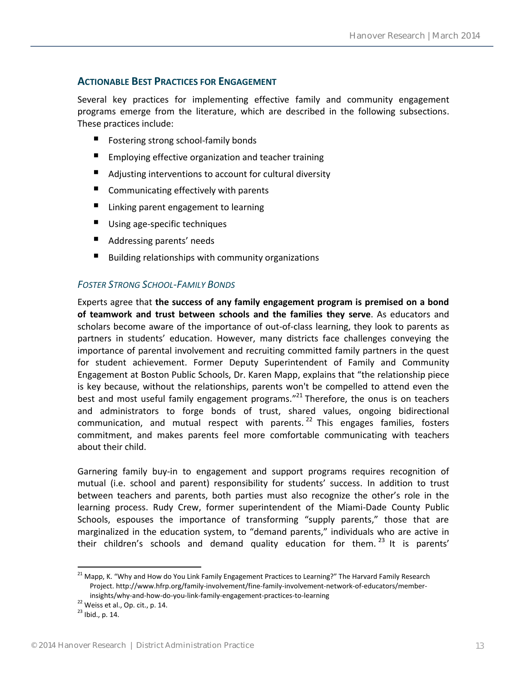#### <span id="page-12-0"></span>**ACTIONABLE BEST PRACTICES FOR ENGAGEMENT**

Several key practices for implementing effective family and community engagement programs emerge from the literature, which are described in the following subsections. These practices include:

- Fostering strong school-family bonds
- **Employing effective organization and teacher training**
- Adjusting interventions to account for cultural diversity
- Communicating effectively with parents
- Linking parent engagement to learning
- Using age-specific techniques
- Addressing parents' needs
- Building relationships with community organizations

#### <span id="page-12-1"></span>*FOSTER STRONG SCHOOL-FAMILY BONDS*

Experts agree that **the success of any family engagement program is premised on a bond of teamwork and trust between schools and the families they serve**. As educators and scholars become aware of the importance of out-of-class learning, they look to parents as partners in students' education. However, many districts face challenges conveying the importance of parental involvement and recruiting committed family partners in the quest for student achievement. Former Deputy Superintendent of Family and Community Engagement at Boston Public Schools, Dr. Karen Mapp, explains that "the relationship piece is key because, without the relationships, parents won't be compelled to attend even the best and most useful family engagement programs."<sup>21</sup> Therefore, the onus is on teachers and administrators to forge bonds of trust, shared values, ongoing bidirectional communication, and mutual respect with parents.<sup>22</sup> This engages families, fosters commitment, and makes parents feel more comfortable communicating with teachers about their child.

Garnering family buy-in to engagement and support programs requires recognition of mutual (i.e. school and parent) responsibility for students' success. In addition to trust between teachers and parents, both parties must also recognize the other's role in the learning process. Rudy Crew, former superintendent of the Miami-Dade County Public Schools, espouses the importance of transforming "supply parents," those that are marginalized in the education system, to "demand parents," individuals who are active in their children's schools and demand quality education for them.<sup>23</sup> It is parents'

<sup>&</sup>lt;sup>21</sup> Mapp, K. "Why and How do You Link Family Engagement Practices to Learning?" The Harvard Family Research Project. http://www.hfrp.org/family-involvement/fine-family-involvement-network-of-educators/memberinsights/why-and-how-do-you-link-family-engagement-practices-to-learning

<sup>22</sup> Weiss et al., Op. cit., p. 14.

 $23$  Ibid., p. 14.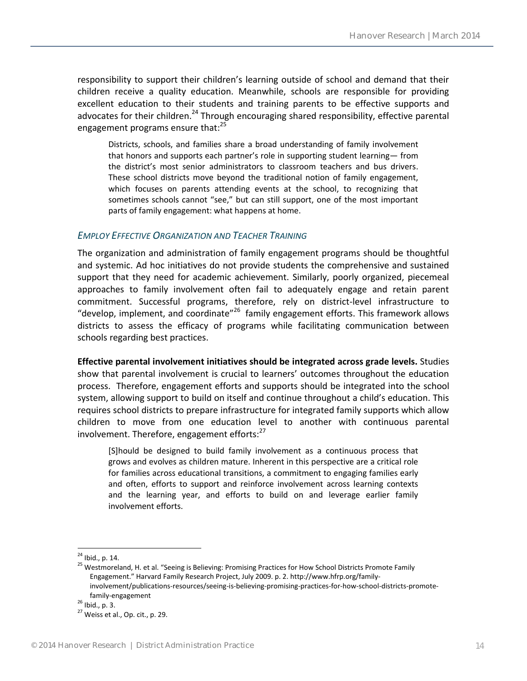responsibility to support their children's learning outside of school and demand that their children receive a quality education. Meanwhile, schools are responsible for providing excellent education to their students and training parents to be effective supports and advocates for their children.<sup>24</sup> Through encouraging shared responsibility, effective parental engagement programs ensure that:<sup>25</sup>

Districts, schools, and families share a broad understanding of family involvement that honors and supports each partner's role in supporting student learning— from the district's most senior administrators to classroom teachers and bus drivers. These school districts move beyond the traditional notion of family engagement, which focuses on parents attending events at the school, to recognizing that sometimes schools cannot "see," but can still support, one of the most important parts of family engagement: what happens at home.

#### <span id="page-13-0"></span>*EMPLOY EFFECTIVE ORGANIZATION AND TEACHER TRAINING*

The organization and administration of family engagement programs should be thoughtful and systemic. Ad hoc initiatives do not provide students the comprehensive and sustained support that they need for academic achievement. Similarly, poorly organized, piecemeal approaches to family involvement often fail to adequately engage and retain parent commitment. Successful programs, therefore, rely on district-level infrastructure to "develop, implement, and coordinate"<sup>26</sup> family engagement efforts. This framework allows districts to assess the efficacy of programs while facilitating communication between schools regarding best practices.

**Effective parental involvement initiatives should be integrated across grade levels.** Studies show that parental involvement is crucial to learners' outcomes throughout the education process. Therefore, engagement efforts and supports should be integrated into the school system, allowing support to build on itself and continue throughout a child's education. This requires school districts to prepare infrastructure for integrated family supports which allow children to move from one education level to another with continuous parental involvement. Therefore, engagement efforts:<sup>27</sup>

[S]hould be designed to build family involvement as a continuous process that grows and evolves as children mature. Inherent in this perspective are a critical role for families across educational transitions, a commitment to engaging families early and often, efforts to support and reinforce involvement across learning contexts and the learning year, and efforts to build on and leverage earlier family involvement efforts.

<sup>&</sup>lt;sup>24</sup> Ibid., p. 14.

<sup>&</sup>lt;sup>25</sup> Westmoreland, H. et al. "Seeing is Believing: Promising Practices for How School Districts Promote Family Engagement." Harvard Family Research Project, July 2009. p. 2. http://www.hfrp.org/familyinvolvement/publications-resources/seeing-is-believing-promising-practices-for-how-school-districts-promotefamily-engagement

<sup>26</sup> Ibid., p. 3.

 $27$  Weiss et al., Op. cit., p. 29.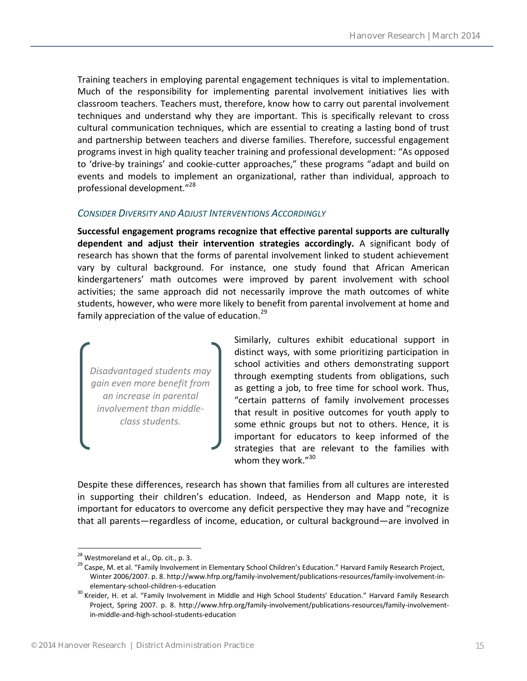Training teachers in employing parental engagement techniques is vital to implementation. Much of the responsibility for implementing parental involvement initiatives lies with classroom teachers. Teachers must, therefore, know how to carry out parental involvement techniques and understand why they are important. This is specifically relevant to cross cultural communication techniques, which are essential to creating a lasting bond of trust and partnership between teachers and diverse families. Therefore, successful engagement programs invest in high quality teacher training and professional development: "As opposed to 'drive-by trainings' and cookie-cutter approaches," these programs "adapt and build on events and models to implement an organizational, rather than individual, approach to professional development."<sup>28</sup>

#### <span id="page-14-0"></span>*CONSIDER DIVERSITY AND ADJUST INTERVENTIONS ACCORDINGLY*

**Successful engagement programs recognize that effective parental supports are culturally dependent and adjust their intervention strategies accordingly.** A significant body of research has shown that the forms of parental involvement linked to student achievement vary by cultural background. For instance, one study found that African American kindergarteners' math outcomes were improved by parent involvement with school activities; the same approach did not necessarily improve the math outcomes of white students, however, who were more likely to benefit from parental involvement at home and family appreciation of the value of education. $^{29}$ 

*Disadvantaged students may gain even more benefit from an increase in parental involvement than middleclass students.* 

Similarly, cultures exhibit educational support in distinct ways, with some prioritizing participation in school activities and others demonstrating support through exempting students from obligations, such as getting a job, to free time for school work. Thus, "certain patterns of family involvement processes that result in positive outcomes for youth apply to some ethnic groups but not to others. Hence, it is important for educators to keep informed of the strategies that are relevant to the families with whom they work."<sup>30</sup>

Despite these differences, research has shown that families from all cultures are interested in supporting their children's education. Indeed, as Henderson and Mapp note, it is important for educators to overcome any deficit perspective they may have and "recognize that all parents—regardless of income, education, or cultural background—are involved in

<sup>&</sup>lt;sup>28</sup> Westmoreland et al., Op. cit., p. 3.

<sup>&</sup>lt;sup>29</sup> Caspe, M. et al. "Family Involvement in Elementary School Children's Education." Harvard Family Research Project, Winter 2006/2007. p. 8. http://www.hfrp.org/family-involvement/publications-resources/family-involvement-inelementary-school-children-s-education

<sup>&</sup>lt;sup>30</sup> Kreider, H. et al. "Family Involvement in Middle and High School Students' Education." Harvard Family Research Project, Spring 2007. p. 8. http://www.hfrp.org/family-involvement/publications-resources/family-involvementin-middle-and-high-school-students-education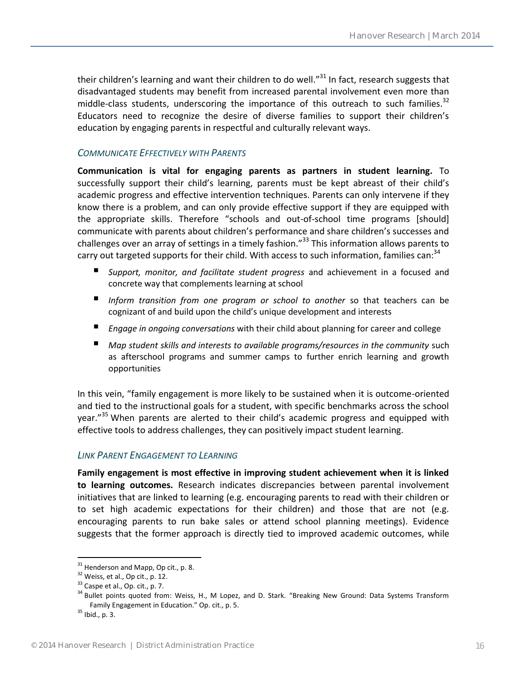their children's learning and want their children to do well." $31$  In fact, research suggests that disadvantaged students may benefit from increased parental involvement even more than middle-class students, underscoring the importance of this outreach to such families. $32$ Educators need to recognize the desire of diverse families to support their children's education by engaging parents in respectful and culturally relevant ways.

#### <span id="page-15-0"></span>*COMMUNICATE EFFECTIVELY WITH PARENTS*

**Communication is vital for engaging parents as partners in student learning.** To successfully support their child's learning, parents must be kept abreast of their child's academic progress and effective intervention techniques. Parents can only intervene if they know there is a problem, and can only provide effective support if they are equipped with the appropriate skills. Therefore "schools and out-of-school time programs [should] communicate with parents about children's performance and share children's successes and challenges over an array of settings in a timely fashion."<sup>33</sup> This information allows parents to carry out targeted supports for their child. With access to such information, families can:<sup>34</sup>

- *Support, monitor, and facilitate student progress* and achievement in a focused and concrete way that complements learning at school
- *Inform transition from one program or school to another* so that teachers can be cognizant of and build upon the child's unique development and interests
- *Engage in ongoing conversations* with their child about planning for career and college
- *Map student skills and interests to available programs/resources in the community* such as afterschool programs and summer camps to further enrich learning and growth opportunities

In this vein, "family engagement is more likely to be sustained when it is outcome-oriented and tied to the instructional goals for a student, with specific benchmarks across the school year."<sup>35</sup> When parents are alerted to their child's academic progress and equipped with effective tools to address challenges, they can positively impact student learning.

#### <span id="page-15-1"></span>*LINK PARENT ENGAGEMENT TO LEARNING*

**Family engagement is most effective in improving student achievement when it is linked to learning outcomes.** Research indicates discrepancies between parental involvement initiatives that are linked to learning (e.g. encouraging parents to read with their children or to set high academic expectations for their children) and those that are not (e.g. encouraging parents to run bake sales or attend school planning meetings). Evidence suggests that the former approach is directly tied to improved academic outcomes, while

 $31$  Henderson and Mapp, Op cit., p. 8.

<sup>&</sup>lt;sup>32</sup> Weiss, et al., Op cit., p. 12.

 $33$  Caspe et al., Op. cit., p. 7.

<sup>&</sup>lt;sup>34</sup> Bullet points quoted from: Weiss, H., M Lopez, and D. Stark. "Breaking New Ground: Data Systems Transform Family Engagement in Education." Op. cit., p. 5.

 $35$  Ibid., p. 3.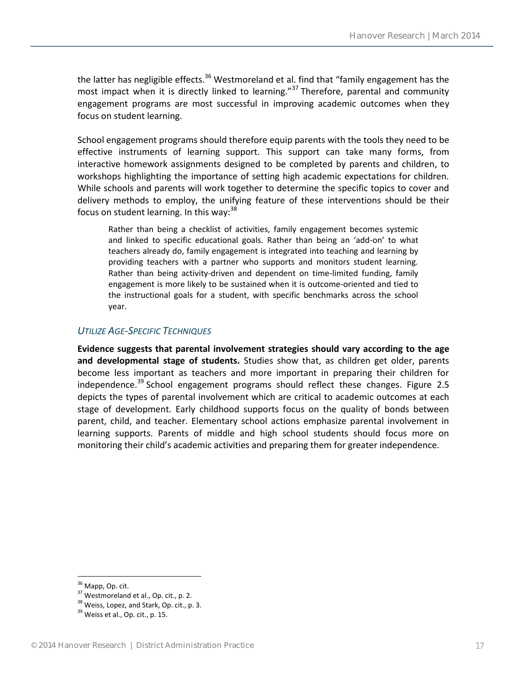the latter has negligible effects.<sup>36</sup> Westmoreland et al. find that "family engagement has the most impact when it is directly linked to learning."<sup>37</sup> Therefore, parental and community engagement programs are most successful in improving academic outcomes when they focus on student learning.

School engagement programs should therefore equip parents with the tools they need to be effective instruments of learning support. This support can take many forms, from interactive homework assignments designed to be completed by parents and children, to workshops highlighting the importance of setting high academic expectations for children. While schools and parents will work together to determine the specific topics to cover and delivery methods to employ, the unifying feature of these interventions should be their focus on student learning. In this way: $38$ 

Rather than being a checklist of activities, family engagement becomes systemic and linked to specific educational goals. Rather than being an 'add-on' to what teachers already do, family engagement is integrated into teaching and learning by providing teachers with a partner who supports and monitors student learning. Rather than being activity-driven and dependent on time-limited funding, family engagement is more likely to be sustained when it is outcome-oriented and tied to the instructional goals for a student, with specific benchmarks across the school year.

#### <span id="page-16-0"></span>*UTILIZE AGE-SPECIFIC TECHNIQUES*

**Evidence suggests that parental involvement strategies should vary according to the age and developmental stage of students.** Studies show that, as children get older, parents become less important as teachers and more important in preparing their children for independence.<sup>39</sup> School engagement programs should reflect these changes. Figure 2.5 depicts the types of parental involvement which are critical to academic outcomes at each stage of development. Early childhood supports focus on the quality of bonds between parent, child, and teacher. Elementary school actions emphasize parental involvement in learning supports. Parents of middle and high school students should focus more on monitoring their child's academic activities and preparing them for greater independence.

<sup>&</sup>lt;sup>36</sup> Mapp, Op. cit.

<sup>&</sup>lt;sup>37</sup> Westmoreland et al., Op. cit., p. 2.

<sup>&</sup>lt;sup>38</sup> Weiss, Lopez, and Stark, Op. cit., p. 3.

 $39$  Weiss et al., Op. cit., p. 15.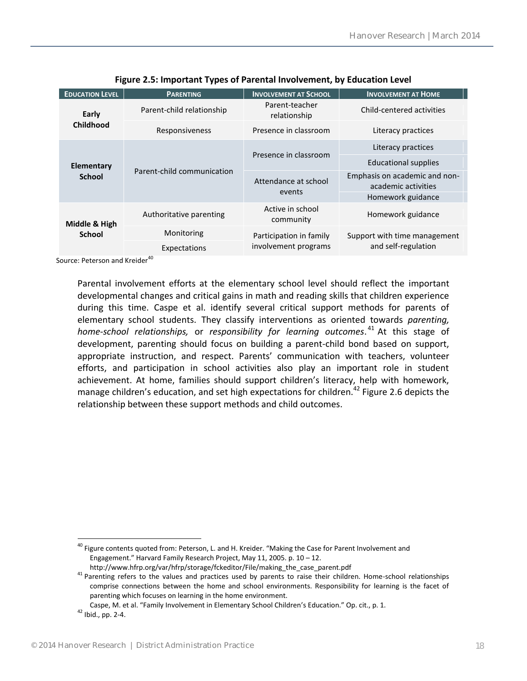| <b>EDUCATION LEVEL</b>         | <b>PARENTING</b>           | <b>INVOLVEMENT AT SCHOOL</b>   | <b>INVOLVEMENT AT HOME</b>                           |
|--------------------------------|----------------------------|--------------------------------|------------------------------------------------------|
| Early<br><b>Childhood</b>      | Parent-child relationship  | Parent-teacher<br>relationship | Child-centered activities                            |
|                                | Responsiveness             | Presence in classroom          | Literacy practices                                   |
| Elementary<br><b>School</b>    |                            | Presence in classroom          | Literacy practices                                   |
|                                | Parent-child communication |                                | <b>Educational supplies</b>                          |
|                                |                            | Attendance at school<br>events | Emphasis on academic and non-<br>academic activities |
|                                |                            |                                | Homework guidance                                    |
| Middle & High<br><b>School</b> | Authoritative parenting    | Active in school<br>community  | Homework guidance                                    |
|                                | Monitoring                 | Participation in family        | Support with time management                         |
|                                | Expectations               | involvement programs           | and self-regulation                                  |

**Figure 2.5: Important Types of Parental Involvement, by Education Level**

Source: Peterson and Kreider<sup>40</sup>

Parental involvement efforts at the elementary school level should reflect the important developmental changes and critical gains in math and reading skills that children experience during this time. Caspe et al. identify several critical support methods for parents of elementary school students. They classify interventions as oriented towards *parenting, home-school relationships,* or *responsibility for learning outcomes*. <sup>41</sup> At this stage of development, parenting should focus on building a parent-child bond based on support, appropriate instruction, and respect. Parents' communication with teachers, volunteer efforts, and participation in school activities also play an important role in student achievement. At home, families should support children's literacy, help with homework, manage children's education, and set high expectations for children.<sup>42</sup> Figure 2.6 depicts the relationship between these support methods and child outcomes.

 $\overline{a}$ <sup>40</sup> Figure contents quoted from: Peterson, L. and H. Kreider. "Making the Case for Parent Involvement and Engagement." Harvard Family Research Project, May 11, 2005. p. 10 – 12.

http://www.hfrp.org/var/hfrp/storage/fckeditor/File/making\_the\_case\_parent.pdf

<sup>&</sup>lt;sup>41</sup> Parenting refers to the values and practices used by parents to raise their children. Home-school relationships comprise connections between the home and school environments. Responsibility for learning is the facet of parenting which focuses on learning in the home environment.

Caspe, M. et al. "Family Involvement in Elementary School Children's Education." Op. cit., p. 1.

<sup>42</sup> Ibid., pp. 2-4.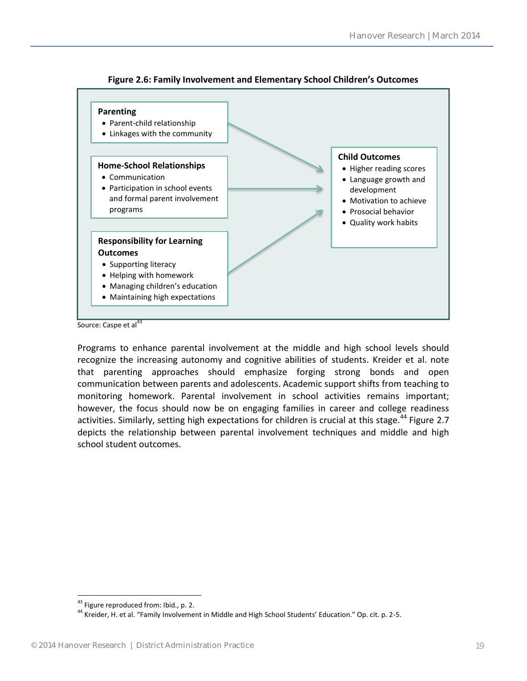

**Figure 2.6: Family Involvement and Elementary School Children's Outcomes**

Programs to enhance parental involvement at the middle and high school levels should recognize the increasing autonomy and cognitive abilities of students. Kreider et al. note that parenting approaches should emphasize forging strong bonds and open communication between parents and adolescents. Academic support shifts from teaching to monitoring homework. Parental involvement in school activities remains important; however, the focus should now be on engaging families in career and college readiness activities. Similarly, setting high expectations for children is crucial at this stage.<sup>44</sup> Figure 2.7 depicts the relationship between parental involvement techniques and middle and high school student outcomes.

Source: Caspe et al $^{43}$ 

 $\overline{a}$ <sup>43</sup> Figure reproduced from: Ibid., p. 2.

<sup>&</sup>lt;sup>44</sup> Kreider, H. et al. "Family Involvement in Middle and High School Students' Education." Op. cit. p. 2-5.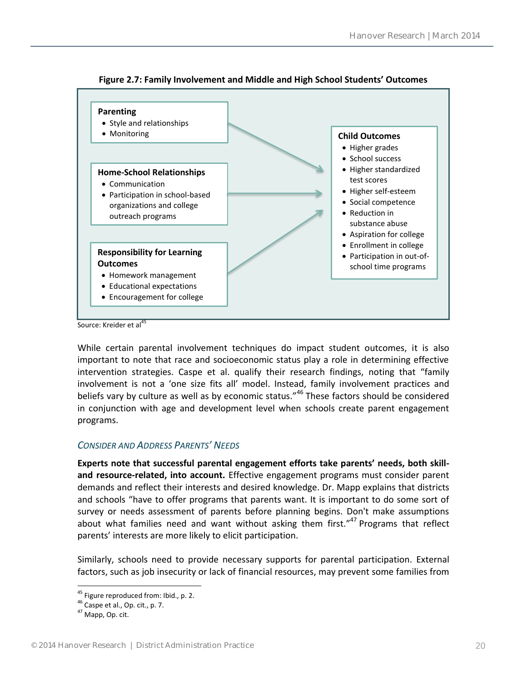

**Figure 2.7: Family Involvement and Middle and High School Students' Outcomes**

Source: Kreider et al<sup>45</sup>

While certain parental involvement techniques do impact student outcomes, it is also important to note that race and socioeconomic status play a role in determining effective intervention strategies. Caspe et al. qualify their research findings, noting that "family involvement is not a 'one size fits all' model. Instead, family involvement practices and beliefs vary by culture as well as by economic status."<sup>46</sup> These factors should be considered in conjunction with age and development level when schools create parent engagement programs.

#### <span id="page-19-0"></span>*CONSIDER AND ADDRESS PARENTS' NEEDS*

**Experts note that successful parental engagement efforts take parents' needs, both skilland resource-related, into account.** Effective engagement programs must consider parent demands and reflect their interests and desired knowledge. Dr. Mapp explains that districts and schools "have to offer programs that parents want. It is important to do some sort of survey or needs assessment of parents before planning begins. Don't make assumptions about what families need and want without asking them first."<sup>47</sup> Programs that reflect parents' interests are more likely to elicit participation.

Similarly, schools need to provide necessary supports for parental participation. External factors, such as job insecurity or lack of financial resources, may prevent some families from

<sup>&</sup>lt;sup>45</sup> Figure reproduced from: Ibid., p. 2.

 $46$  Caspe et al., Op. cit., p. 7.

<sup>47</sup> Mapp, Op. cit.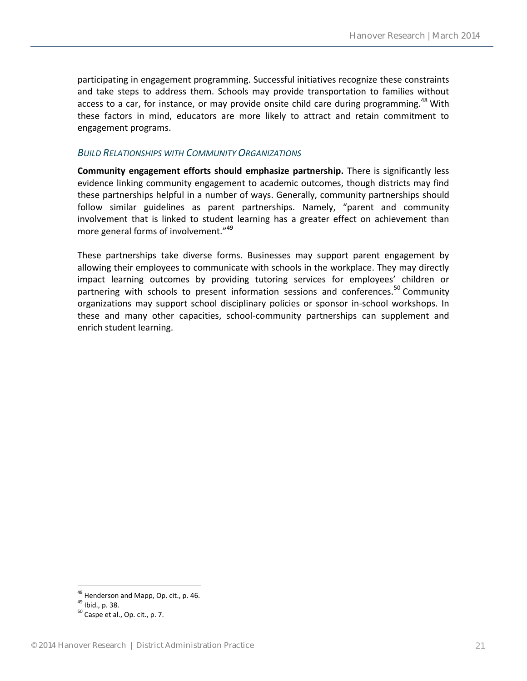participating in engagement programming. Successful initiatives recognize these constraints and take steps to address them. Schools may provide transportation to families without access to a car, for instance, or may provide onsite child care during programming.<sup>48</sup> With these factors in mind, educators are more likely to attract and retain commitment to engagement programs.

#### <span id="page-20-0"></span>*BUILD RELATIONSHIPS WITH COMMUNITY ORGANIZATIONS*

**Community engagement efforts should emphasize partnership.** There is significantly less evidence linking community engagement to academic outcomes, though districts may find these partnerships helpful in a number of ways. Generally, community partnerships should follow similar guidelines as parent partnerships. Namely, "parent and community involvement that is linked to student learning has a greater effect on achievement than more general forms of involvement."<sup>49</sup>

These partnerships take diverse forms. Businesses may support parent engagement by allowing their employees to communicate with schools in the workplace. They may directly impact learning outcomes by providing tutoring services for employees' children or partnering with schools to present information sessions and conferences.<sup>50</sup> Community organizations may support school disciplinary policies or sponsor in-school workshops. In these and many other capacities, school-community partnerships can supplement and enrich student learning.

<sup>&</sup>lt;sup>48</sup> Henderson and Mapp, Op. cit., p. 46.

<sup>49</sup> Ibid., p. 38.

 $50$  Caspe et al., Op. cit., p. 7.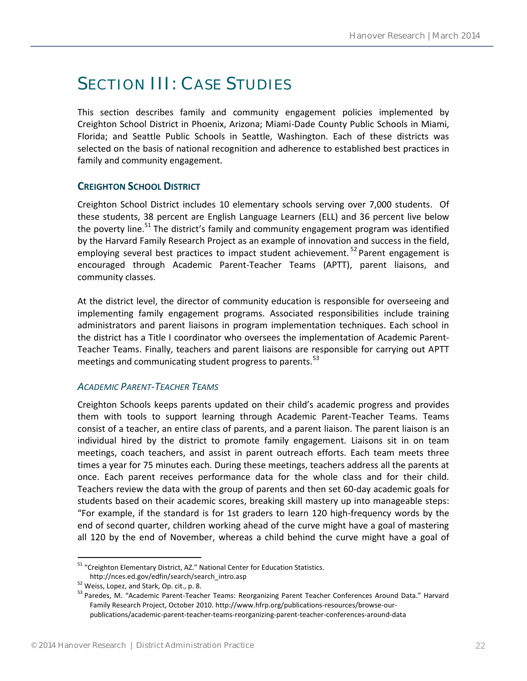# <span id="page-21-0"></span>SECTION III: CASE STUDIES

This section describes family and community engagement policies implemented by Creighton School District in Phoenix, Arizona; Miami-Dade County Public Schools in Miami, Florida; and Seattle Public Schools in Seattle, Washington. Each of these districts was selected on the basis of national recognition and adherence to established best practices in family and community engagement.

#### <span id="page-21-1"></span>**CREIGHTON SCHOOL DISTRICT**

Creighton School District includes 10 elementary schools serving over 7,000 students. Of these students, 38 percent are English Language Learners (ELL) and 36 percent live below the poverty line.<sup>51</sup> The district's family and community engagement program was identified by the Harvard Family Research Project as an example of innovation and success in the field, employing several best practices to impact student achievement.<sup>52</sup> Parent engagement is encouraged through Academic Parent-Teacher Teams (APTT), parent liaisons, and community classes.

At the district level, the director of community education is responsible for overseeing and implementing family engagement programs. Associated responsibilities include training administrators and parent liaisons in program implementation techniques. Each school in the district has a Title I coordinator who oversees the implementation of Academic Parent-Teacher Teams. Finally, teachers and parent liaisons are responsible for carrying out APTT meetings and communicating student progress to parents.<sup>53</sup>

#### <span id="page-21-2"></span>*ACADEMIC PARENT-TEACHER TEAMS*

Creighton Schools keeps parents updated on their child's academic progress and provides them with tools to support learning through Academic Parent-Teacher Teams. Teams consist of a teacher, an entire class of parents, and a parent liaison. The parent liaison is an individual hired by the district to promote family engagement. Liaisons sit in on team meetings, coach teachers, and assist in parent outreach efforts. Each team meets three times a year for 75 minutes each. During these meetings, teachers address all the parents at once. Each parent receives performance data for the whole class and for their child. Teachers review the data with the group of parents and then set 60-day academic goals for students based on their academic scores, breaking skill mastery up into manageable steps: "For example, if the standard is for 1st graders to learn 120 high-frequency words by the end of second quarter, children working ahead of the curve might have a goal of mastering all 120 by the end of November, whereas a child behind the curve might have a goal of

<sup>&</sup>lt;sup>51</sup> "Creighton Elementary District, AZ." National Center for Education Statistics. http://nces.ed.gov/edfin/search/search\_intro.asp

<sup>&</sup>lt;sup>52</sup> Weiss, Lopez, and Stark, Op. cit., p. 8.

<sup>53</sup> Paredes, M. "Academic Parent-Teacher Teams: Reorganizing Parent Teacher Conferences Around Data." Harvard Family Research Project, October 2010. http://www.hfrp.org/publications-resources/browse-ourpublications/academic-parent-teacher-teams-reorganizing-parent-teacher-conferences-around-data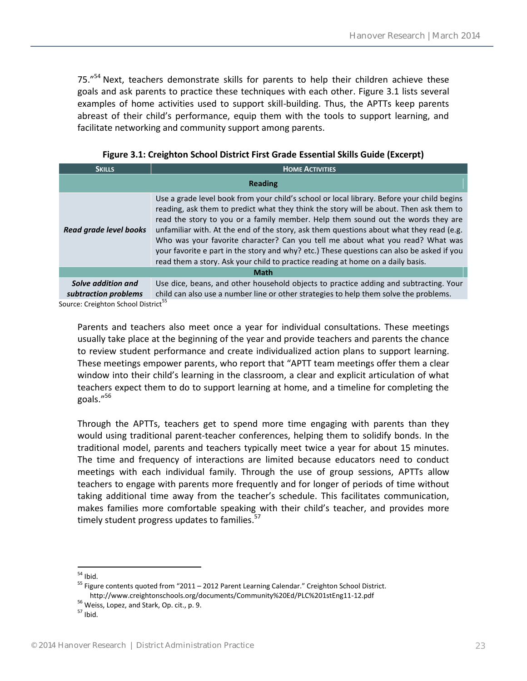75."<sup>54</sup> Next, teachers demonstrate skills for parents to help their children achieve these goals and ask parents to practice these techniques with each other. Figure 3.1 lists several examples of home activities used to support skill-building. Thus, the APTTs keep parents abreast of their child's performance, equip them with the tools to support learning, and facilitate networking and community support among parents.

**Figure 3.1: Creighton School District First Grade Essential Skills Guide (Excerpt)**

| <b>SKILLS</b>                                   | <b>HOME ACTIVITIES</b>                                                                                                                                                                                                                                                                                                                                                                                                                                                                                                                                                                                                                |  |  |
|-------------------------------------------------|---------------------------------------------------------------------------------------------------------------------------------------------------------------------------------------------------------------------------------------------------------------------------------------------------------------------------------------------------------------------------------------------------------------------------------------------------------------------------------------------------------------------------------------------------------------------------------------------------------------------------------------|--|--|
| <b>Reading</b>                                  |                                                                                                                                                                                                                                                                                                                                                                                                                                                                                                                                                                                                                                       |  |  |
| Read grade level books                          | Use a grade level book from your child's school or local library. Before your child begins<br>reading, ask them to predict what they think the story will be about. Then ask them to<br>read the story to you or a family member. Help them sound out the words they are<br>unfamiliar with. At the end of the story, ask them questions about what they read (e.g.<br>Who was your favorite character? Can you tell me about what you read? What was<br>your favorite e part in the story and why? etc.) These questions can also be asked if you<br>read them a story. Ask your child to practice reading at home on a daily basis. |  |  |
| <b>Math</b>                                     |                                                                                                                                                                                                                                                                                                                                                                                                                                                                                                                                                                                                                                       |  |  |
| Solve addition and<br>subtraction problems      | Use dice, beans, and other household objects to practice adding and subtracting. Your<br>child can also use a number line or other strategies to help them solve the problems.                                                                                                                                                                                                                                                                                                                                                                                                                                                        |  |  |
| Carmen Customers Calcard District <sup>55</sup> |                                                                                                                                                                                                                                                                                                                                                                                                                                                                                                                                                                                                                                       |  |  |

Source: Creighton School District

Parents and teachers also meet once a year for individual consultations. These meetings usually take place at the beginning of the year and provide teachers and parents the chance to review student performance and create individualized action plans to support learning. These meetings empower parents, who report that "APTT team meetings offer them a clear window into their child's learning in the classroom, a clear and explicit articulation of what teachers expect them to do to support learning at home, and a timeline for completing the goals."<sup>56</sup>

Through the APTTs, teachers get to spend more time engaging with parents than they would using traditional parent-teacher conferences, helping them to solidify bonds. In the traditional model, parents and teachers typically meet twice a year for about 15 minutes. The time and frequency of interactions are limited because educators need to conduct meetings with each individual family. Through the use of group sessions, APTTs allow teachers to engage with parents more frequently and for longer of periods of time without taking additional time away from the teacher's schedule. This facilitates communication, makes families more comfortable speaking with their child's teacher, and provides more timely student progress updates to families.<sup>57</sup>

 $\overline{a}$  $54$  Ibid.

<sup>&</sup>lt;sup>55</sup> Figure contents quoted from "2011 – 2012 Parent Learning Calendar." Creighton School District. http://www.creightonschools.org/documents/Community%20Ed/PLC%201stEng11-12.pdf

<sup>&</sup>lt;sup>56</sup> Weiss, Lopez, and Stark, Op. cit., p. 9.

 $57$  Ibid.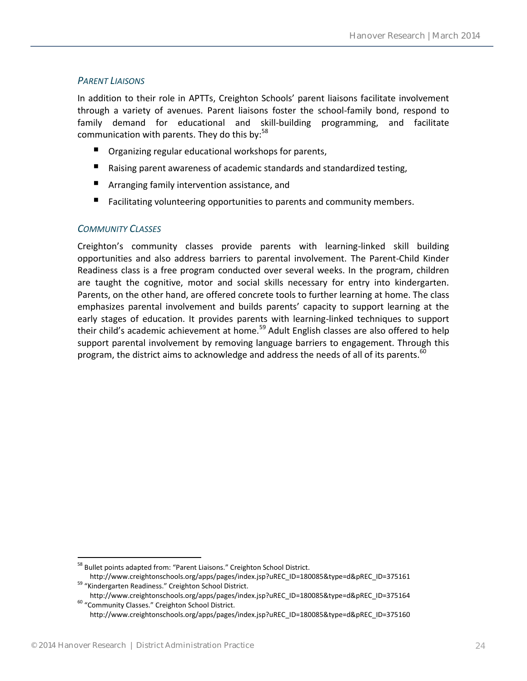#### <span id="page-23-0"></span>*PARENT LIAISONS*

In addition to their role in APTTs, Creighton Schools' parent liaisons facilitate involvement through a variety of avenues. Parent liaisons foster the school-family bond, respond to family demand for educational and skill-building programming, and facilitate communication with parents. They do this by: $58$ 

- **P** Organizing regular educational workshops for parents,
- Raising parent awareness of academic standards and standardized testing,
- **E** Arranging family intervention assistance, and
- Facilitating volunteering opportunities to parents and community members.

#### <span id="page-23-1"></span>*COMMUNITY CLASSES*

Creighton's community classes provide parents with learning-linked skill building opportunities and also address barriers to parental involvement. The Parent-Child Kinder Readiness class is a free program conducted over several weeks. In the program, children are taught the cognitive, motor and social skills necessary for entry into kindergarten. Parents, on the other hand, are offered concrete tools to further learning at home. The class emphasizes parental involvement and builds parents' capacity to support learning at the early stages of education. It provides parents with learning-linked techniques to support their child's academic achievement at home.<sup>59</sup> Adult English classes are also offered to help support parental involvement by removing language barriers to engagement. Through this program, the district aims to acknowledge and address the needs of all of its parents.<sup>60</sup>

 $\overline{a}$ <sup>58</sup> Bullet points adapted from: "Parent Liaisons." Creighton School District.

http://www.creightonschools.org/apps/pages/index.jsp?uREC\_ID=180085&type=d&pREC\_ID=375161 <sup>59</sup> "Kindergarten Readiness." Creighton School District.

http://www.creightonschools.org/apps/pages/index.jsp?uREC\_ID=180085&type=d&pREC\_ID=375164 <sup>60</sup> "Community Classes." Creighton School District.

http://www.creightonschools.org/apps/pages/index.jsp?uREC\_ID=180085&type=d&pREC\_ID=375160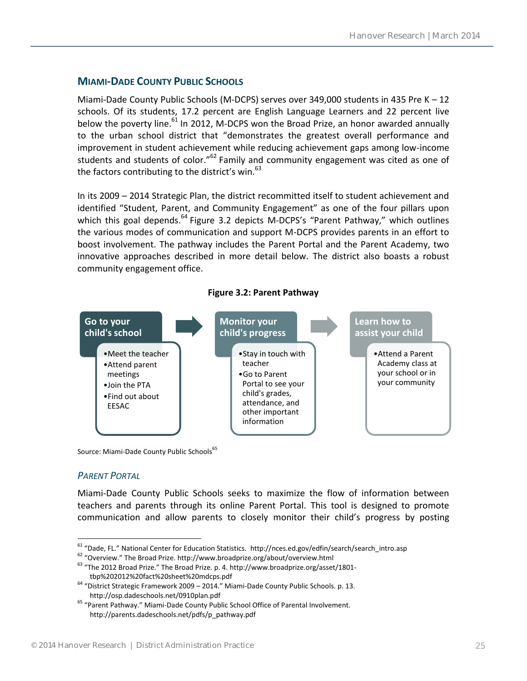#### <span id="page-24-0"></span>**MIAMI-DADE COUNTY PUBLIC SCHOOLS**

Miami-Dade County Public Schools (M-DCPS) serves over 349,000 students in 435 Pre K – 12 schools. Of its students, 17.2 percent are English Language Learners and 22 percent live below the poverty line.<sup>61</sup> In 2012, M-DCPS won the Broad Prize, an honor awarded annually to the urban school district that "demonstrates the greatest overall performance and improvement in student achievement while reducing achievement gaps among low-income students and students of color."<sup>62</sup> Family and community engagement was cited as one of the factors contributing to the district's win.<sup>63</sup>

In its 2009 – 2014 Strategic Plan, the district recommitted itself to student achievement and identified "Student, Parent, and Community Engagement" as one of the four pillars upon which this goal depends.  $64$  Figure 3.2 depicts M-DCPS's "Parent Pathway," which outlines the various modes of communication and support M-DCPS provides parents in an effort to boost involvement. The pathway includes the Parent Portal and the Parent Academy, two innovative approaches described in more detail below. The district also boasts a robust community engagement office.

**Figure 3.2: Parent Pathway**



Source: Miami-Dade County Public Schools<sup>65</sup>

#### <span id="page-24-1"></span>*PARENT PORTAL*

 $\overline{a}$ 

Miami-Dade County Public Schools seeks to maximize the flow of information between teachers and parents through its online Parent Portal. This tool is designed to promote communication and allow parents to closely monitor their child's progress by posting

<sup>61</sup> "Dade, FL." National Center for Education Statistics. http://nces.ed.gov/edfin/search/search\_intro.asp

<sup>62</sup> "Overview." The Broad Prize. http://www.broadprize.org/about/overview.html

<sup>&</sup>lt;sup>63</sup> "The 2012 Broad Prize." The Broad Prize. p. 4. http://www.broadprize.org/asset/1801tbp%202012%20fact%20sheet%20mdcps.pdf

<sup>64</sup> "District Strategic Framework 2009 – 2014." Miami-Dade County Public Schools. p. 13. http://osp.dadeschools.net/0910plan.pdf

<sup>65</sup> "Parent Pathway." Miami-Dade County Public School Office of Parental Involvement. http://parents.dadeschools.net/pdfs/p\_pathway.pdf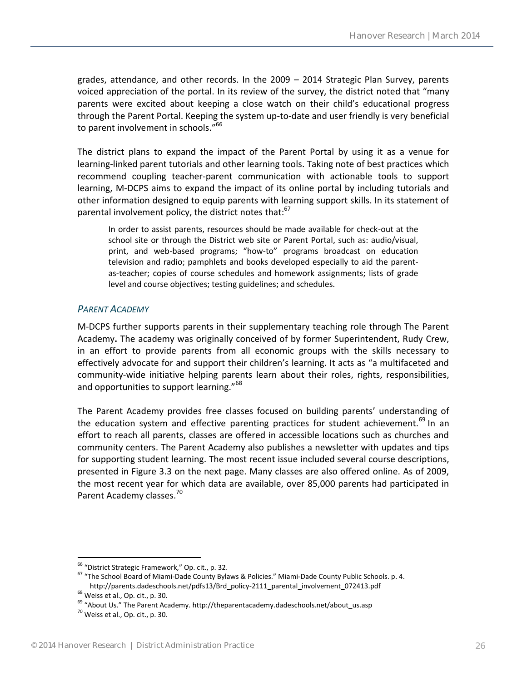grades, attendance, and other records. In the 2009 – 2014 Strategic Plan Survey, parents voiced appreciation of the portal. In its review of the survey, the district noted that "many parents were excited about keeping a close watch on their child's educational progress through the Parent Portal. Keeping the system up-to-date and user friendly is very beneficial to parent involvement in schools."<sup>66</sup>

The district plans to expand the impact of the Parent Portal by using it as a venue for learning-linked parent tutorials and other learning tools. Taking note of best practices which recommend coupling teacher-parent communication with actionable tools to support learning, M-DCPS aims to expand the impact of its online portal by including tutorials and other information designed to equip parents with learning support skills. In its statement of parental involvement policy, the district notes that:<sup>67</sup>

In order to assist parents, resources should be made available for check-out at the school site or through the District web site or Parent Portal, such as: audio/visual, print, and web-based programs; "how-to" programs broadcast on education television and radio; pamphlets and books developed especially to aid the parentas-teacher; copies of course schedules and homework assignments; lists of grade level and course objectives; testing guidelines; and schedules.

#### <span id="page-25-0"></span>*PARENT ACADEMY*

M-DCPS further supports parents in their supplementary teaching role through The Parent Academy**.** The academy was originally conceived of by former Superintendent, Rudy Crew, in an effort to provide parents from all economic groups with the skills necessary to effectively advocate for and support their children's learning. It acts as "a multifaceted and community-wide initiative helping parents learn about their roles, rights, responsibilities, and opportunities to support learning."<sup>68</sup>

The Parent Academy provides free classes focused on building parents' understanding of the education system and effective parenting practices for student achievement.<sup>69</sup> In an effort to reach all parents, classes are offered in accessible locations such as churches and community centers. The Parent Academy also publishes a newsletter with updates and tips for supporting student learning. The most recent issue included several course descriptions, presented in Figure 3.3 on the next page. Many classes are also offered online. As of 2009, the most recent year for which data are available, over 85,000 parents had participated in Parent Academy classes.<sup>70</sup>

<sup>66</sup> "District Strategic Framework," Op. cit., p. 32.

<sup>67</sup> "The School Board of Miami-Dade County Bylaws & Policies." Miami-Dade County Public Schools. p. 4. http://parents.dadeschools.net/pdfs13/Brd\_policy-2111\_parental\_involvement\_072413.pdf

<sup>68</sup> Weiss et al., Op. cit., p. 30.

<sup>&</sup>lt;sup>69</sup> "About Us." The Parent Academy. http://theparentacademy.dadeschools.net/about\_us.asp

 $70$  Weiss et al., Op. cit., p. 30.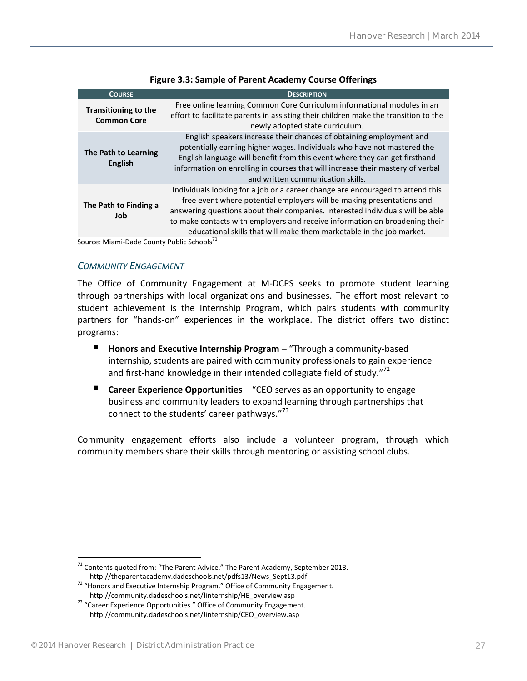| <b>COURSE</b>                                                                                                                                                                                                                                                                                                                                                                                                                    | <b>DESCRIPTION</b>                                                                                                                                                                                                                                                                                                                                  |  |
|----------------------------------------------------------------------------------------------------------------------------------------------------------------------------------------------------------------------------------------------------------------------------------------------------------------------------------------------------------------------------------------------------------------------------------|-----------------------------------------------------------------------------------------------------------------------------------------------------------------------------------------------------------------------------------------------------------------------------------------------------------------------------------------------------|--|
| <b>Transitioning to the</b><br><b>Common Core</b>                                                                                                                                                                                                                                                                                                                                                                                | Free online learning Common Core Curriculum informational modules in an<br>effort to facilitate parents in assisting their children make the transition to the<br>newly adopted state curriculum.                                                                                                                                                   |  |
| The Path to Learning<br><b>English</b>                                                                                                                                                                                                                                                                                                                                                                                           | English speakers increase their chances of obtaining employment and<br>potentially earning higher wages. Individuals who have not mastered the<br>English language will benefit from this event where they can get firsthand<br>information on enrolling in courses that will increase their mastery of verbal<br>and written communication skills. |  |
| Individuals looking for a job or a career change are encouraged to attend this<br>free event where potential employers will be making presentations and<br>The Path to Finding a<br>answering questions about their companies. Interested individuals will be able<br>Job<br>to make contacts with employers and receive information on broadening their<br>educational skills that will make them marketable in the job market. |                                                                                                                                                                                                                                                                                                                                                     |  |

#### **Figure 3.3: Sample of Parent Academy Course Offerings**

Source: Miami-Dade County Public Schools'

#### <span id="page-26-0"></span>*COMMUNITY ENGAGEMENT*

The Office of Community Engagement at M-DCPS seeks to promote student learning through partnerships with local organizations and businesses. The effort most relevant to student achievement is the Internship Program, which pairs students with community partners for "hands-on" experiences in the workplace. The district offers two distinct programs:

- **Honors and Executive Internship Program** "Through a community-based internship, students are paired with community professionals to gain experience and first-hand knowledge in their intended collegiate field of study."<sup>72</sup>
- **Career Experience Opportunities** "CEO serves as an opportunity to engage business and community leaders to expand learning through partnerships that connect to the students' career pathways."<sup>73</sup>

Community engagement efforts also include a volunteer program, through which community members share their skills through mentoring or assisting school clubs.

 $71$  Contents quoted from: "The Parent Advice." The Parent Academy, September 2013. http://theparentacademy.dadeschools.net/pdfs13/News\_Sept13.pdf

<sup>&</sup>lt;sup>72</sup> "Honors and Executive Internship Program." Office of Community Engagement. http://community.dadeschools.net/!internship/HE\_overview.asp

<sup>&</sup>lt;sup>73</sup> "Career Experience Opportunities." Office of Community Engagement. http://community.dadeschools.net/!internship/CEO\_overview.asp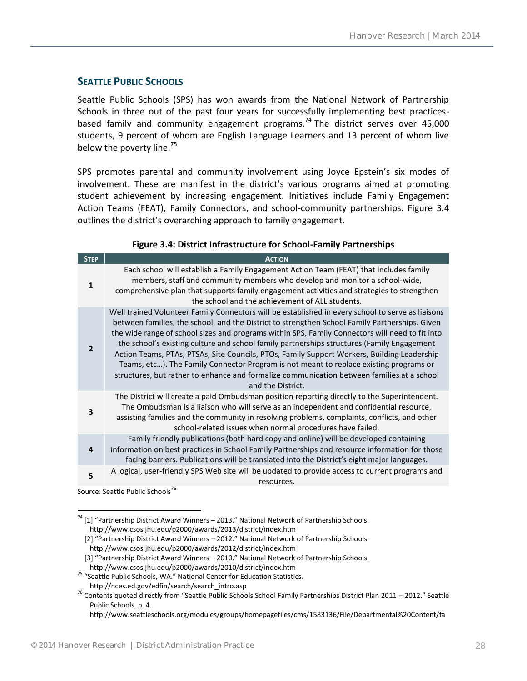#### <span id="page-27-0"></span>**SEATTLE PUBLIC SCHOOLS**

Seattle Public Schools (SPS) has won awards from the National Network of Partnership Schools in three out of the past four years for successfully implementing best practicesbased family and community engagement programs.<sup>74</sup> The district serves over 45,000 students, 9 percent of whom are English Language Learners and 13 percent of whom live below the poverty line.<sup>75</sup>

SPS promotes parental and community involvement using Joyce Epstein's six modes of involvement. These are manifest in the district's various programs aimed at promoting student achievement by increasing engagement. Initiatives include Family Engagement Action Teams (FEAT), Family Connectors, and school-community partnerships. Figure 3.4 outlines the district's overarching approach to family engagement.

| <b>STEP</b>    | <b>ACTION</b>                                                                                                                                                                                                                                                                                                                                                                                                                                                                                                                                                                                                                                                                                                    |
|----------------|------------------------------------------------------------------------------------------------------------------------------------------------------------------------------------------------------------------------------------------------------------------------------------------------------------------------------------------------------------------------------------------------------------------------------------------------------------------------------------------------------------------------------------------------------------------------------------------------------------------------------------------------------------------------------------------------------------------|
| $\mathbf{1}$   | Each school will establish a Family Engagement Action Team (FEAT) that includes family<br>members, staff and community members who develop and monitor a school-wide,<br>comprehensive plan that supports family engagement activities and strategies to strengthen<br>the school and the achievement of ALL students.                                                                                                                                                                                                                                                                                                                                                                                           |
| $\overline{2}$ | Well trained Volunteer Family Connectors will be established in every school to serve as liaisons<br>between families, the school, and the District to strengthen School Family Partnerships. Given<br>the wide range of school sizes and programs within SPS, Family Connectors will need to fit into<br>the school's existing culture and school family partnerships structures (Family Engagement<br>Action Teams, PTAs, PTSAs, Site Councils, PTOs, Family Support Workers, Building Leadership<br>Teams, etc). The Family Connector Program is not meant to replace existing programs or<br>structures, but rather to enhance and formalize communication between families at a school<br>and the District. |
| 3              | The District will create a paid Ombudsman position reporting directly to the Superintendent.<br>The Ombudsman is a liaison who will serve as an independent and confidential resource,<br>assisting families and the community in resolving problems, complaints, conflicts, and other<br>school-related issues when normal procedures have failed.                                                                                                                                                                                                                                                                                                                                                              |
| 4              | Family friendly publications (both hard copy and online) will be developed containing<br>information on best practices in School Family Partnerships and resource information for those<br>facing barriers. Publications will be translated into the District's eight major languages.                                                                                                                                                                                                                                                                                                                                                                                                                           |
| 5              | A logical, user-friendly SPS Web site will be updated to provide access to current programs and<br>resources.                                                                                                                                                                                                                                                                                                                                                                                                                                                                                                                                                                                                    |

#### **Figure 3.4: District Infrastructure for School-Family Partnerships**

Source: Seattle Public Schools<sup>76</sup>

 $\overline{a}$ <sup>74</sup> [1] "Partnership District Award Winners – 2013." National Network of Partnership Schools. http://www.csos.jhu.edu/p2000/awards/2013/district/index.htm

- [2] "Partnership District Award Winners 2012." National Network of Partnership Schools. http://www.csos.jhu.edu/p2000/awards/2012/district/index.htm
- [3] "Partnership District Award Winners 2010." National Network of Partnership Schools.

http://www.csos.jhu.edu/p2000/awards/2010/district/index.htm

<sup>75</sup> "Seattle Public Schools, WA." National Center for Education Statistics. http://nces.ed.gov/edfin/search/search\_intro.asp

 $76$  Contents quoted directly from "Seattle Public Schools School Family Partnerships District Plan 2011 – 2012." Seattle Public Schools. p. 4.

http://www.seattleschools.org/modules/groups/homepagefiles/cms/1583136/File/Departmental%20Content/fa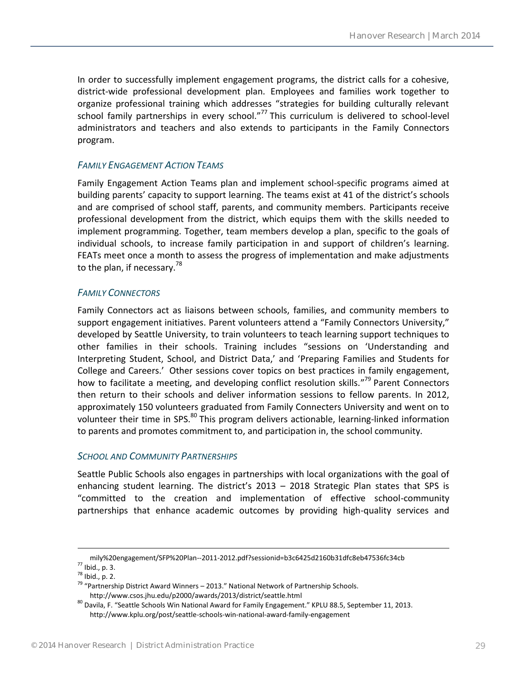In order to successfully implement engagement programs, the district calls for a cohesive, district-wide professional development plan. Employees and families work together to organize professional training which addresses "strategies for building culturally relevant school family partnerships in every school."<sup>77</sup> This curriculum is delivered to school-level administrators and teachers and also extends to participants in the Family Connectors program.

#### <span id="page-28-0"></span>*FAMILY ENGAGEMENT ACTION TEAMS*

Family Engagement Action Teams plan and implement school-specific programs aimed at building parents' capacity to support learning. The teams exist at 41 of the district's schools and are comprised of school staff, parents, and community members. Participants receive professional development from the district, which equips them with the skills needed to implement programming. Together, team members develop a plan, specific to the goals of individual schools, to increase family participation in and support of children's learning. FEATs meet once a month to assess the progress of implementation and make adjustments to the plan, if necessary.<sup>78</sup>

#### <span id="page-28-1"></span>*FAMILY CONNECTORS*

Family Connectors act as liaisons between schools, families, and community members to support engagement initiatives. Parent volunteers attend a "Family Connectors University," developed by Seattle University, to train volunteers to teach learning support techniques to other families in their schools. Training includes "sessions on 'Understanding and Interpreting Student, School, and District Data,' and 'Preparing Families and Students for College and Careers.' Other sessions cover topics on best practices in family engagement, how to facilitate a meeting, and developing conflict resolution skills."<sup>79</sup> Parent Connectors then return to their schools and deliver information sessions to fellow parents. In 2012, approximately 150 volunteers graduated from Family Connecters University and went on to volunteer their time in SPS.<sup>80</sup> This program delivers actionable, learning-linked information to parents and promotes commitment to, and participation in, the school community.

#### <span id="page-28-2"></span>*SCHOOL AND COMMUNITY PARTNERSHIPS*

Seattle Public Schools also engages in partnerships with local organizations with the goal of enhancing student learning. The district's 2013 – 2018 Strategic Plan states that SPS is "committed to the creation and implementation of effective school-community partnerships that enhance academic outcomes by providing high-quality services and

mily%20engagement/SFP%20Plan--2011-2012.pdf?sessionid=b3c6425d2160b31dfc8eb47536fc34cb <sup>77</sup> Ibid., p. 3.

<sup>78</sup> Ibid., p. 2.

<sup>79</sup> "Partnership District Award Winners – 2013." National Network of Partnership Schools. http://www.csos.jhu.edu/p2000/awards/2013/district/seattle.html

<sup>&</sup>lt;sup>80</sup> Davila, F. "Seattle Schools Win National Award for Family Engagement." KPLU 88.5, September 11, 2013. http://www.kplu.org/post/seattle-schools-win-national-award-family-engagement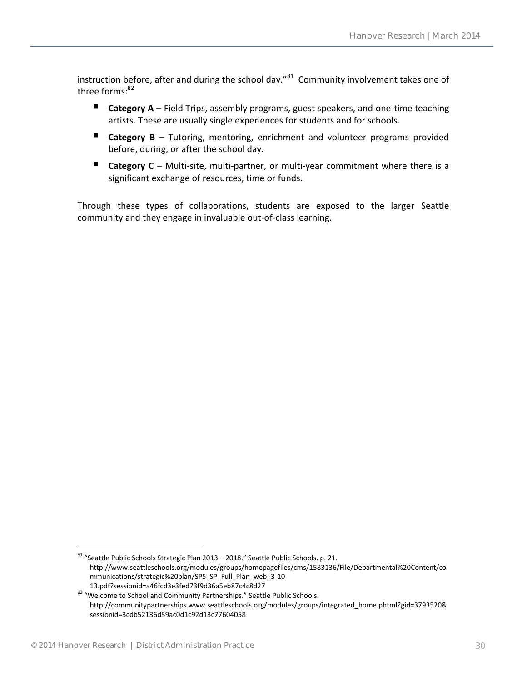instruction before, after and during the school day."<sup>81</sup> Community involvement takes one of three forms: $82$ 

- **Category A** Field Trips, assembly programs, guest speakers, and one-time teaching artists. These are usually single experiences for students and for schools.
- Category B Tutoring, mentoring, enrichment and volunteer programs provided before, during, or after the school day.
- **Category C** Multi-site, multi-partner, or multi-year commitment where there is a significant exchange of resources, time or funds.

Through these types of collaborations, students are exposed to the larger Seattle community and they engage in invaluable out-of-class learning.

<sup>81</sup> "Seattle Public Schools Strategic Plan 2013 – 2018." Seattle Public Schools. p. 21. http://www.seattleschools.org/modules/groups/homepagefiles/cms/1583136/File/Departmental%20Content/co mmunications/strategic%20plan/SPS\_SP\_Full\_Plan\_web\_3-10- 13.pdf?sessionid=a46fcd3e3fed73f9d36a5eb87c4c8d27

<sup>82 &</sup>quot;Welcome to School and Community Partnerships." Seattle Public Schools. http://communitypartnerships.www.seattleschools.org/modules/groups/integrated\_home.phtml?gid=3793520& sessionid=3cdb52136d59ac0d1c92d13c77604058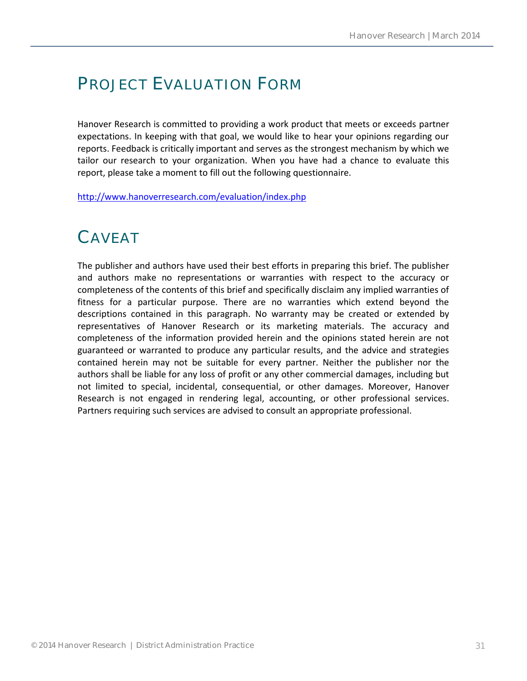## PROJECT EVALUATION FORM

Hanover Research is committed to providing a work product that meets or exceeds partner expectations. In keeping with that goal, we would like to hear your opinions regarding our reports. Feedback is critically important and serves as the strongest mechanism by which we tailor our research to your organization. When you have had a chance to evaluate this report, please take a moment to fill out the following questionnaire.

<http://www.hanoverresearch.com/evaluation/index.php>

### CAVEAT

The publisher and authors have used their best efforts in preparing this brief. The publisher and authors make no representations or warranties with respect to the accuracy or completeness of the contents of this brief and specifically disclaim any implied warranties of fitness for a particular purpose. There are no warranties which extend beyond the descriptions contained in this paragraph. No warranty may be created or extended by representatives of Hanover Research or its marketing materials. The accuracy and completeness of the information provided herein and the opinions stated herein are not guaranteed or warranted to produce any particular results, and the advice and strategies contained herein may not be suitable for every partner. Neither the publisher nor the authors shall be liable for any loss of profit or any other commercial damages, including but not limited to special, incidental, consequential, or other damages. Moreover, Hanover Research is not engaged in rendering legal, accounting, or other professional services. Partners requiring such services are advised to consult an appropriate professional.